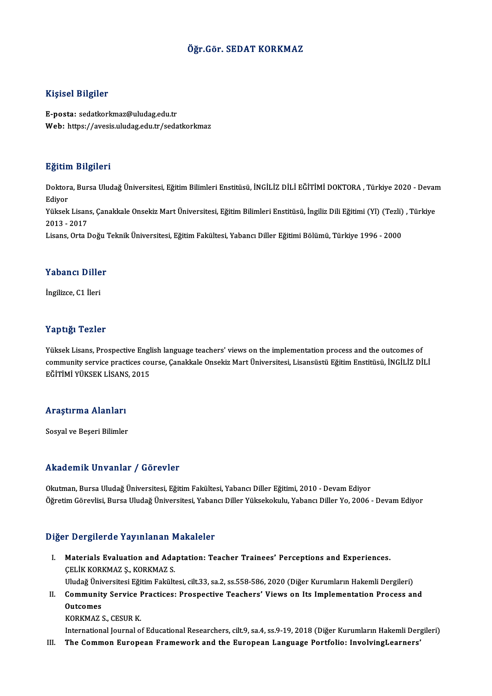### Öğr.Gör. SEDAT KORKMAZ

### Kişisel Bilgiler

E-posta: sedatkorkmaz@uludag.edu.tr Web: https://avesis.uludag.edu.tr/sedatkorkmaz

### Eğitim Bilgileri

**Eğitim Bilgileri**<br>Doktora, Bursa Uludağ Üniversitesi, Eğitim Bilimleri Enstitüsü, İNGİLİZ DİLİ EĞİTİMİ DOKTORA , Türkiye 2020 - Devam<br>Ediyor Lgren<br>Doktor<br>Ediyor Doktora, Bursa Uludağ Üniversitesi, Eğitim Bilimleri Enstitüsü, İNGİLİZ DİLİ EĞİTİMİ DOKTORA , Türkiye 2020 - Devar<br>Ediyor<br>Yüksek Lisans, Çanakkale Onsekiz Mart Üniversitesi, Eğitim Bilimleri Enstitüsü, İngiliz Dili Eğitim Ediyor<br>Yüksek Lisan<br>2013 - 2017<br>Lisans, Orta L Yüksek Lisans, Çanakkale Onsekiz Mart Üniversitesi, Eğitim Bilimleri Enstitüsü, İngiliz Dili Eğitimi (Yl) (Tezli)<br>2013 - 2017<br>Lisans, Orta Doğu Teknik Üniversitesi, Eğitim Fakültesi, Yabancı Diller Eğitimi Bölümü, Türkiye Lisans, Orta Doğu Teknik Üniversitesi, Eğitim Fakültesi, Yabancı Diller Eğitimi Bölümü, Türkiye 1996 - 2000<br>Yabancı Diller

İngilizce,C1 İleri

### Yaptığı Tezler

Yaptığı Tezler<br>Yüksek Lisans, Prospective English language teachers' views on the implementation process and the outcomes of<br>community cervice prostices seuree, Capakkale Opsekiz Mert Üniversitesi J isansüstü Făjtim Enstit community service practices course, Çanakkale Onsekiz Mart Üniversitesi, Lisansüstü Eğitim Enstitüsü, İNGİLİZ DİLİ<br>EĞİTİMİ YÜKSEK LİSANS. 2015 Yüksek Lisans, Prospective Engl<br>community service practices co<br>EĞİTİMİ YÜKSEK LİSANS, 2015

# egitimi roksek Lisans<br>Araştırma Alanları <mark>Araştırma Alanları</mark><br>Sosyal ve Beşeri Bilimler

# Akademik Unvanlar / Görevler

Okutman, Bursa Uludağ Üniversitesi, Eğitim Fakültesi, Yabancı Diller Eğitimi, 2010 - Devam Ediyor Öğretim Görevlisi, Bursa Uludağ Üniversitesi, Yabancı Diller Yüksekokulu, Yabancı Diller Yo, 2006 - Devam Ediyor

### Diğer Dergilerde Yayınlanan Makaleler

I. Materials Evaluation and Adaptation: Teacher Trainees' Perceptions and Experiences. ÇELİK KORKMAZ Ş., KORKMAZ S.

Uludağ Üniversitesi Eğitim Fakültesi, cilt.33, sa.2, ss.558-586, 2020 (Diğer Kurumların Hakemli Dergileri)

CELİK KORKMAZ Ş., KORKMAZ S.<br>Uludağ Üniversitesi Eğitim Fakültesi, cilt.33, sa.2, ss.558-586, 2020 (Diğer Kurumların Hakemli Dergileri)<br>II. Community Service Practices: Prospective Teachers' Views on Its Implementation Uludağ Üniv<br>Communit<br>Outcomes<br>KORKMAZ ( Community Service I<br>Outcomes<br>KORKMAZ S., CESUR K.<br>International Journal o Outcomes<br>International Journal of Educational Researchers, cilt.9, sa.4, ss.9-19, 2018 (Diğer Kurumların Hakemli Dergileri)<br>International Journal of Educational Researchers, cilt.9, sa.4, ss.9-19, 2018 (Diğer Kurumların Ha

III. The Common European Framework and the European Language Portfolio: InvolvingLearners'